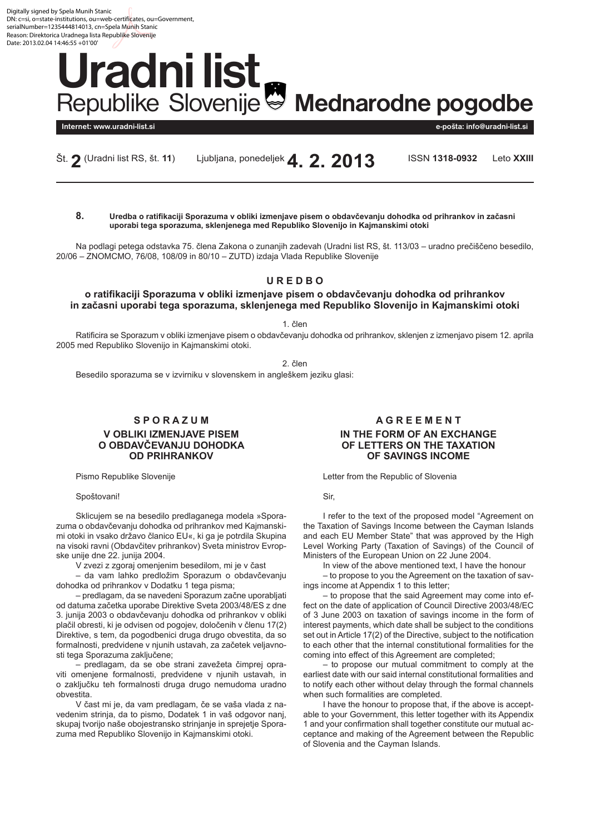<span id="page-0-0"></span>Digitally signed by Spela Munih Stanic DN: c=si, o=state-institutions, ou=web-certificates, ou=Government, serialNumber=1235444814013, cn=Spela Munih Stanic Reason: Direktorica Uradnega lista Republike Slovenije Date: 2013.02.04.14:46:55 +01'00'

# **Uradni list** Republike Slovenije<sup>®</sup> Mednarodne pogodbe

**Internet: www.uradni-list.si e-pošta: info@uradni-list.si**

Št. **2** (Uradni list RS, št. **11**) Ljubljana, ponedeljek**4. 2. 2013** ISSN **1318-0932** Leto **XXIII**

**8. Uredba o ratifikaciji Sporazuma v obliki izmenjave pisem o obdavčevanju dohodka od prihrankov in začasni uporabi tega sporazuma, sklenjenega med Republiko Slovenijo in Kajmanskimi otoki**

Na podlagi petega odstavka 75. člena Zakona o zunanjih zadevah (Uradni list RS, št. 113/03 – uradno prečiščeno besedilo, 20/06 – ZNOMCMO, 76/08, 108/09 in 80/10 – ZUTD) izdaja Vlada Republike Slovenije

# **U R E D B O**

# **o ratifikaciji Sporazuma v obliki izmenjave pisem o obdavčevanju dohodka od prihrankov in začasni uporabi tega sporazuma, sklenjenega med Republiko Slovenijo in Kajmanskimi otoki**

1. člen

Ratificira se Sporazum v obliki izmenjave pisem o obdavčevanju dohodka od prihrankov, sklenjen z izmenjavo pisem 12. aprila 2005 med Republiko Slovenijo in Kajmanskimi otoki.

2. člen

Besedilo sporazuma se v izvirniku v slovenskem in angleškem jeziku glasi:

# **S P O R A Z U M V OBLIKI IZMENJAVE PISEM O OBDAVČEVANJU DOHODKA OD PRIHRANKOV**

Pismo Republike Slovenije

Spoštovani!

Sklicujem se na besedilo predlaganega modela »Sporazuma o obdavčevanju dohodka od prihrankov med Kajmanskimi otoki in vsako državo članico EU«, ki ga je potrdila Skupina na visoki ravni (Obdavčitev prihrankov) Sveta ministrov Evropske unije dne 22. junija 2004.

V zvezi z zgoraj omenjenim besedilom, mi je v čast

– da vam lahko predložim Sporazum o obdavčevanju dohodka od prihrankov v Dodatku 1 tega pisma;

– predlagam, da se navedeni Sporazum začne uporabljati od datuma začetka uporabe Direktive Sveta 2003/48/ES z dne 3. junija 2003 o obdavčevanju dohodka od prihrankov v obliki plačil obresti, ki je odvisen od pogojev, določenih v členu 17(2) Direktive, s tem, da pogodbenici druga drugo obvestita, da so formalnosti, predvidene v njunih ustavah, za začetek veljavnosti tega Sporazuma zaključene;

– predlagam, da se obe strani zavežeta čimprej opraviti omenjene formalnosti, predvidene v njunih ustavah, in o zaključku teh formalnosti druga drugo nemudoma uradno obvestita.

V čast mi je, da vam predlagam, če se vaša vlada z navedenim strinja, da to pismo, Dodatek 1 in vaš odgovor nanj, skupaj tvorijo naše obojestransko strinjanje in sprejetje Sporazuma med Republiko Slovenijo in Kajmanskimi otoki.

# **A G R E E M E N T IN THE FORM OF AN EXCHANGE OF LETTERS ON THE TAXATION OF SAVINGS INCOME**

Letter from the Republic of Slovenia

Sir,

I refer to the text of the proposed model "Agreement on the Taxation of Savings Income between the Cayman Islands and each EU Member State" that was approved by the High Level Working Party (Taxation of Savings) of the Council of Ministers of the European Union on 22 June 2004.

In view of the above mentioned text, I have the honour – to propose to you the Agreement on the taxation of savings income at Appendix 1 to this letter;

– to propose that the said Agreement may come into effect on the date of application of Council Directive 2003/48/EC of 3 June 2003 on taxation of savings income in the form of interest payments, which date shall be subject to the conditions set out in Article 17(2) of the Directive, subject to the notification to each other that the internal constitutional formalities for the coming into effect of this Agreement are completed;

– to propose our mutual commitment to comply at the earliest date with our said internal constitutional formalities and to notify each other without delay through the formal channels when such formalities are completed.

I have the honour to propose that, if the above is acceptable to your Government, this letter together with its Appendix 1 and your confirmation shall together constitute our mutual acceptance and making of the Agreement between the Republic of Slovenia and the Cayman Islands.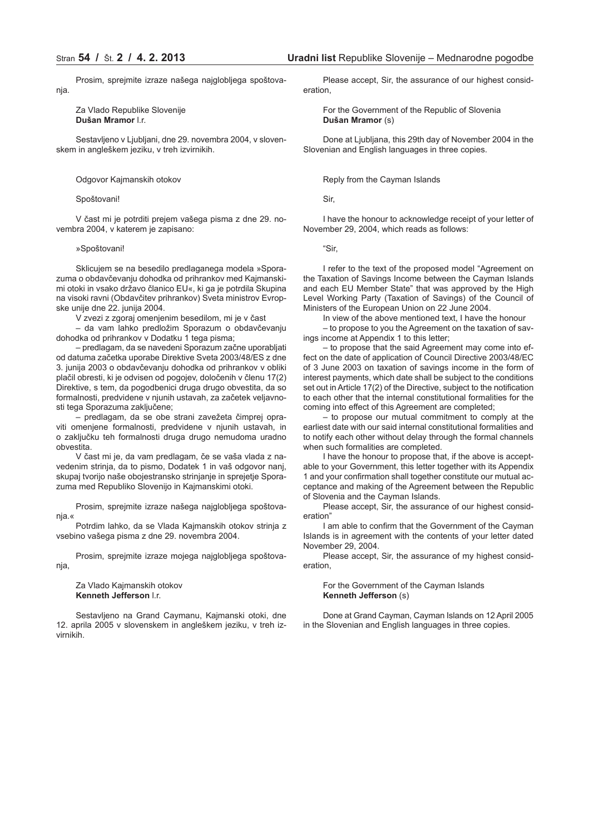Prosim, sprejmite izraze našega najglobljega spoštovanja.

Za Vlado Republike Slovenije **Dušan Mramor** l.r.

Sestavljeno v Ljubljani, dne 29. novembra 2004, v slovenskem in angleškem jeziku, v treh izvirnikih.

Odgovor Kajmanskih otokov

#### Spoštovani!

V čast mi je potrditi prejem vašega pisma z dne 29. novembra 2004, v katerem je zapisano:

#### »Spoštovani!

Sklicujem se na besedilo predlaganega modela »Sporazuma o obdavčevanju dohodka od prihrankov med Kajmanskimi otoki in vsako državo članico EU«, ki ga je potrdila Skupina na visoki ravni (Obdavčitev prihrankov) Sveta ministrov Evropske unije dne 22. junija 2004.

V zvezi z zgoraj omenjenim besedilom, mi je v čast

– da vam lahko predložim Sporazum o obdavčevanju dohodka od prihrankov v Dodatku 1 tega pisma;

– predlagam, da se navedeni Sporazum začne uporabljati od datuma začetka uporabe Direktive Sveta 2003/48/ES z dne 3. junija 2003 o obdavčevanju dohodka od prihrankov v obliki plačil obresti, ki je odvisen od pogojev, določenih v členu 17(2) Direktive, s tem, da pogodbenici druga drugo obvestita, da so formalnosti, predvidene v njunih ustavah, za začetek veljavnosti tega Sporazuma zaključene;

– predlagam, da se obe strani zavežeta čimprej opraviti omenjene formalnosti, predvidene v njunih ustavah, in o zaključku teh formalnosti druga drugo nemudoma uradno obvestita.

V čast mi je, da vam predlagam, če se vaša vlada z navedenim strinja, da to pismo, Dodatek 1 in vaš odgovor nanj, skupaj tvorijo naše obojestransko strinjanje in sprejetje Sporazuma med Republiko Slovenijo in Kajmanskimi otoki.

Prosim, sprejmite izraze našega najglobljega spoštovanja.«

Potrdim lahko, da se Vlada Kajmanskih otokov strinja z vsebino vašega pisma z dne 29. novembra 2004.

Prosim, sprejmite izraze mojega najglobljega spoštovanja,

Za Vlado Kajmanskih otokov **Kenneth Jefferson** l.r.

Sestavljeno na Grand Caymanu, Kajmanski otoki, dne 12. aprila 2005 v slovenskem in angleškem jeziku, v treh izvirnikih.

Please accept, Sir, the assurance of our highest consideration,

For the Government of the Republic of Slovenia **Dušan Mramor** (s)

Done at Ljubljana, this 29th day of November 2004 in the Slovenian and English languages in three copies.

Reply from the Cayman Islands

Sir,

I have the honour to acknowledge receipt of your letter of November 29, 2004, which reads as follows:

"Sir,

I refer to the text of the proposed model "Agreement on the Taxation of Savings Income between the Cayman Islands and each EU Member State" that was approved by the High Level Working Party (Taxation of Savings) of the Council of Ministers of the European Union on 22 June 2004.

In view of the above mentioned text, I have the honour

– to propose to you the Agreement on the taxation of savings income at Appendix 1 to this letter;

– to propose that the said Agreement may come into effect on the date of application of Council Directive 2003/48/EC of 3 June 2003 on taxation of savings income in the form of interest payments, which date shall be subject to the conditions set out in Article 17(2) of the Directive, subject to the notification to each other that the internal constitutional formalities for the coming into effect of this Agreement are completed;

– to propose our mutual commitment to comply at the earliest date with our said internal constitutional formalities and to notify each other without delay through the formal channels when such formalities are completed.

I have the honour to propose that, if the above is acceptable to your Government, this letter together with its Appendix 1 and your confirmation shall together constitute our mutual acceptance and making of the Agreement between the Republic of Slovenia and the Cayman Islands.

Please accept, Sir, the assurance of our highest consideration"

I am able to confirm that the Government of the Cayman Islands is in agreement with the contents of your letter dated November 29, 2004.

Please accept, Sir, the assurance of my highest consideration,

#### For the Government of the Cayman Islands **Kenneth Jefferson** (s)

Done at Grand Cayman, Cayman Islands on 12 April 2005 in the Slovenian and English languages in three copies.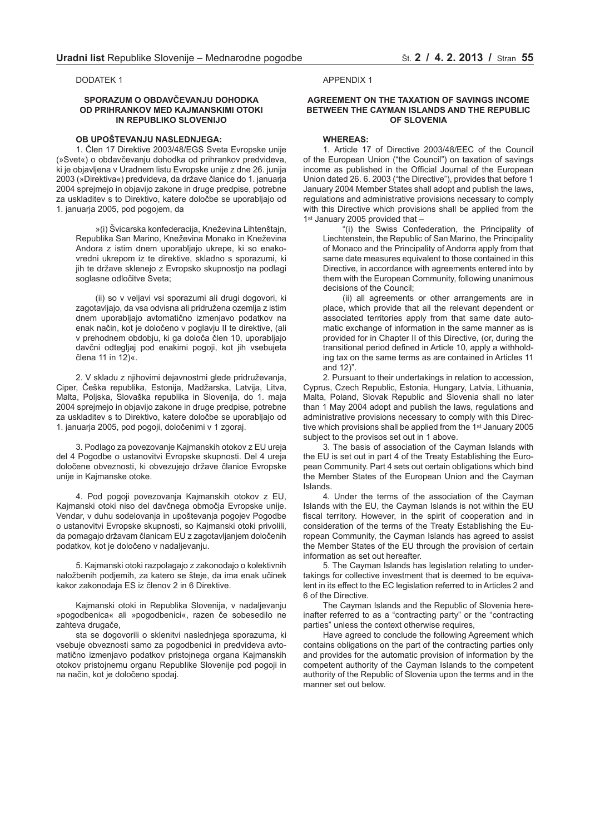DODATEK 1

#### **SPORAZUM O OBDAVČEVANJU DOHODKA OD PRIHRANKOV MED KAJMANSKIMI OTOKI IN REPUBLIKO SLOVENIJO**

#### **OB UPOŠTEVANJU NASLEDNJEGA:**

1. Člen 17 Direktive 2003/48/EGS Sveta Evropske unije (»Svet«) o obdavčevanju dohodka od prihrankov predvideva, ki je objavljena v Uradnem listu Evropske unije z dne 26. junija 2003 (»Direktiva«) predvideva, da države članice do 1. januarja 2004 sprejmejo in objavijo zakone in druge predpise, potrebne za uskladitev s to Direktivo, katere določbe se uporabljajo od 1. januarja 2005, pod pogojem, da

»(i) Švicarska konfederacija, Kneževina Lihtenštajn, Republika San Marino, Kneževina Monako in Kneževina Andora z istim dnem uporabljajo ukrepe, ki so enakovredni ukrepom iz te direktive, skladno s sporazumi, ki jih te države sklenejo z Evropsko skupnostjo na podlagi soglasne odločitve Sveta;

(ii) so v veljavi vsi sporazumi ali drugi dogovori, ki zagotavljajo, da vsa odvisna ali pridružena ozemlja z istim dnem uporabljajo avtomatično izmenjavo podatkov na enak način, kot je določeno v poglavju II te direktive, (ali v prehodnem obdobju, ki ga določa člen 10, uporabljajo davčni odtegljaj pod enakimi pogoji, kot jih vsebujeta člena 11 in 12)«.

2. V skladu z njihovimi dejavnostmi glede pridruževanja, Ciper, Češka republika, Estonija, Madžarska, Latvija, Litva, Malta, Poljska, Slovaška republika in Slovenija, do 1. maja 2004 sprejmejo in objavijo zakone in druge predpise, potrebne za uskladitev s to Direktivo, katere določbe se uporabljajo od 1. januarja 2005, pod pogoji, določenimi v 1 zgoraj.

3. Podlago za povezovanje Kajmanskih otokov z EU ureja del 4 Pogodbe o ustanovitvi Evropske skupnosti. Del 4 ureja določene obveznosti, ki obvezujejo države članice Evropske unije in Kajmanske otoke.

4. Pod pogoji povezovanja Kajmanskih otokov z EU, Kajmanski otoki niso del davčnega območja Evropske unije. Vendar, v duhu sodelovanja in upoštevanja pogojev Pogodbe o ustanovitvi Evropske skupnosti, so Kajmanski otoki privolili, da pomagajo državam članicam EU z zagotavljanjem določenih podatkov, kot je določeno v nadaljevanju.

5. Kajmanski otoki razpolagajo z zakonodajo o kolektivnih naložbenih podjemih, za katero se šteje, da ima enak učinek kakor zakonodaja ES iz členov 2 in 6 Direktive.

Kajmanski otoki in Republika Slovenija, v nadaljevanju »pogodbenica« ali »pogodbenici«, razen če sobesedilo ne zahteva drugače,

sta se dogovorili o sklenitvi naslednjega sporazuma, ki vsebuje obveznosti samo za pogodbenici in predvideva avtomatično izmenjavo podatkov pristojnega organa Kajmanskih otokov pristojnemu organu Republike Slovenije pod pogoji in na način, kot je določeno spodaj.

APPENDIX 1

# **AGREEMENT ON THE TAXATION OF SAVINGS INCOME BETWEEN THE CAYMAN ISLANDS AND THE REPUBLIC OF SLOVENIA**

# **WHEREAS:**

1. Article 17 of Directive 2003/48/EEC of the Council of the European Union ("the Council") on taxation of savings income as published in the Official Journal of the European Union dated 26. 6. 2003 ("the Directive"), provides that before 1 January 2004 Member States shall adopt and publish the laws, regulations and administrative provisions necessary to comply with this Directive which provisions shall be applied from the 1st January 2005 provided that -

"(i) the Swiss Confederation, the Principality of Liechtenstein, the Republic of San Marino, the Principality of Monaco and the Principality of Andorra apply from that same date measures equivalent to those contained in this Directive, in accordance with agreements entered into by them with the European Community, following unanimous decisions of the Council;

(ii) all agreements or other arrangements are in place, which provide that all the relevant dependent or associated territories apply from that same date automatic exchange of information in the same manner as is provided for in Chapter II of this Directive, (or, during the transitional period defined in Article 10, apply a withholding tax on the same terms as are contained in Articles 11 and 12)".

2. Pursuant to their undertakings in relation to accession, Cyprus, Czech Republic, Estonia, Hungary, Latvia, Lithuania, Malta, Poland, Slovak Republic and Slovenia shall no later than 1 May 2004 adopt and publish the laws, regulations and administrative provisions necessary to comply with this Directive which provisions shall be applied from the 1st January 2005 subject to the provisos set out in 1 above.

3. The basis of association of the Cayman Islands with the EU is set out in part 4 of the Treaty Establishing the European Community. Part 4 sets out certain obligations which bind the Member States of the European Union and the Cayman Islands.

4. Under the terms of the association of the Cayman Islands with the EU, the Cayman Islands is not within the EU fiscal territory. However, in the spirit of cooperation and in consideration of the terms of the Treaty Establishing the European Community, the Cayman Islands has agreed to assist the Member States of the EU through the provision of certain information as set out hereafter.

5. The Cayman Islands has legislation relating to undertakings for collective investment that is deemed to be equivalent in its effect to the EC legislation referred to in Articles 2 and 6 of the Directive.

The Cayman Islands and the Republic of Slovenia hereinafter referred to as a "contracting party" or the "contracting parties" unless the context otherwise requires,

Have agreed to conclude the following Agreement which contains obligations on the part of the contracting parties only and provides for the automatic provision of information by the competent authority of the Cayman Islands to the competent authority of the Republic of Slovenia upon the terms and in the manner set out below.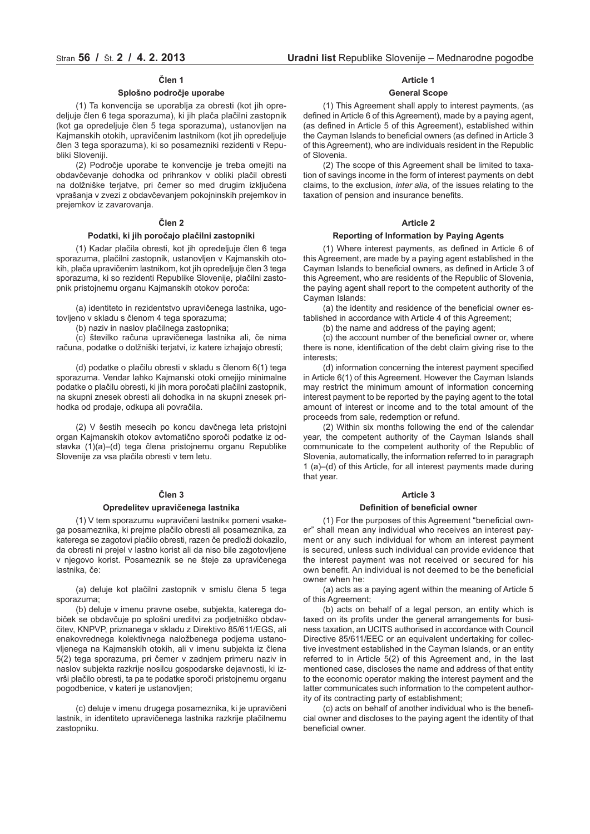# **Člen 1**

#### **Splošno področje uporabe**

(1) Ta konvencija se uporablja za obresti (kot jih opredeljuje člen 6 tega sporazuma), ki jih plača plačilni zastopnik (kot ga opredeljuje člen 5 tega sporazuma), ustanovljen na Kajmanskih otokih, upravičenim lastnikom (kot jih opredeljuje člen 3 tega sporazuma), ki so posamezniki rezidenti v Republiki Sloveniji.

(2) Področje uporabe te konvencije je treba omejiti na obdavčevanje dohodka od prihrankov v obliki plačil obresti na dolžniške terjatve, pri čemer so med drugim izključena vprašanja v zvezi z obdavčevanjem pokojninskih prejemkov in prejemkov iz zavarovanja.

# **Člen 2**

#### **Podatki, ki jih poročajo plačilni zastopniki**

(1) Kadar plačila obresti, kot jih opredeljuje člen 6 tega sporazuma, plačilni zastopnik, ustanovljen v Kajmanskih otokih, plača upravičenim lastnikom, kot jih opredeljuje člen 3 tega sporazuma, ki so rezidenti Republike Slovenije, plačilni zastopnik pristojnemu organu Kajmanskih otokov poroča:

(a) identiteto in rezidentstvo upravičenega lastnika, ugotovljeno v skladu s členom 4 tega sporazuma;

(b) naziv in naslov plačilnega zastopnika;

(c) številko računa upravičenega lastnika ali, če nima računa, podatke o dolžniški terjatvi, iz katere izhajajo obresti;

(d) podatke o plačilu obresti v skladu s členom 6(1) tega sporazuma. Vendar lahko Kajmanski otoki omejijo minimalne podatke o plačilu obresti, ki jih mora poročati plačilni zastopnik, na skupni znesek obresti ali dohodka in na skupni znesek prihodka od prodaje, odkupa ali povračila.

(2) V šestih mesecih po koncu davčnega leta pristojni organ Kajmanskih otokov avtomatično sporoči podatke iz odstavka (1)(a)–(d) tega člena pristojnemu organu Republike Slovenije za vsa plačila obresti v tem letu.

# **Člen 3**

#### **Opredelitev upravičenega lastnika**

(1) V tem sporazumu »upravičeni lastnik« pomeni vsakega posameznika, ki prejme plačilo obresti ali posameznika, za katerega se zagotovi plačilo obresti, razen če predloži dokazilo, da obresti ni prejel v lastno korist ali da niso bile zagotovljene v njegovo korist. Posameznik se ne šteje za upravičenega lastnika, če:

(a) deluje kot plačilni zastopnik v smislu člena 5 tega sporazuma;

(b) deluje v imenu pravne osebe, subjekta, katerega dobiček se obdavčuje po splošni ureditvi za podjetniško obdavčitev, KNPVP, priznanega v skladu z Direktivo 85/611/EGS, ali enakovrednega kolektivnega naložbenega podjema ustanovljenega na Kajmanskih otokih, ali v imenu subjekta iz člena 5(2) tega sporazuma, pri čemer v zadnjem primeru naziv in naslov subjekta razkrije nosilcu gospodarske dejavnosti, ki izvrši plačilo obresti, ta pa te podatke sporoči pristojnemu organu pogodbenice, v kateri je ustanovljen;

(c) deluje v imenu drugega posameznika, ki je upravičeni lastnik, in identiteto upravičenega lastnika razkrije plačilnemu zastopniku.

#### **Article 1**

#### **General Scope**

(1) This Agreement shall apply to interest payments, (as defined in Article 6 of this Agreement), made by a paying agent, (as defined in Article 5 of this Agreement), established within the Cayman Islands to beneficial owners (as defined in Article 3 of this Agreement), who are individuals resident in the Republic of Slovenia.

(2) The scope of this Agreement shall be limited to taxation of savings income in the form of interest payments on debt claims, to the exclusion, *inter alia,* of the issues relating to the taxation of pension and insurance benefits.

# **Article 2**

#### **Reporting of Information by Paying Agents**

(1) Where interest payments, as defined in Article 6 of this Agreement, are made by a paying agent established in the Cayman Islands to beneficial owners, as defined in Article 3 of this Agreement, who are residents of the Republic of Slovenia, the paying agent shall report to the competent authority of the Cayman Islands:

(a) the identity and residence of the beneficial owner established in accordance with Article 4 of this Agreement;

(b) the name and address of the paying agent;

(c) the account number of the beneficial owner or, where there is none, identification of the debt claim giving rise to the interests;

(d) information concerning the interest payment specified in Article 6(1) of this Agreement. However the Cayman Islands may restrict the minimum amount of information concerning interest payment to be reported by the paying agent to the total amount of interest or income and to the total amount of the proceeds from sale, redemption or refund.

(2) Within six months following the end of the calendar year, the competent authority of the Cayman Islands shall communicate to the competent authority of the Republic of Slovenia, automatically, the information referred to in paragraph 1 (a)–(d) of this Article, for all interest payments made during that year.

#### **Article 3**

#### **Definition of beneficial owner**

(1) For the purposes of this Agreement "beneficial owner" shall mean any individual who receives an interest payment or any such individual for whom an interest payment is secured, unless such individual can provide evidence that the interest payment was not received or secured for his own benefit. An individual is not deemed to be the beneficial owner when he:

(a) acts as a paying agent within the meaning of Article 5 of this Agreement;

(b) acts on behalf of a legal person, an entity which is taxed on its profits under the general arrangements for business taxation, an UCITS authorised in accordance with Council Directive 85/611/EEC or an equivalent undertaking for collective investment established in the Cayman Islands, or an entity referred to in Article 5(2) of this Agreement and, in the last mentioned case, discloses the name and address of that entity to the economic operator making the interest payment and the latter communicates such information to the competent authority of its contracting party of establishment;

(c) acts on behalf of another individual who is the beneficial owner and discloses to the paying agent the identity of that beneficial owner.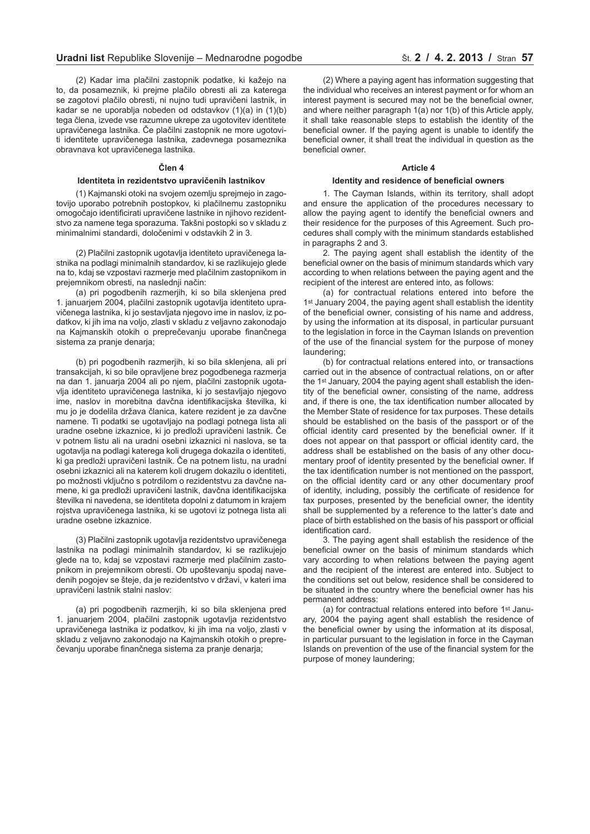(2) Kadar ima plačilni zastopnik podatke, ki kažejo na to, da posameznik, ki prejme plačilo obresti ali za katerega se zagotovi plačilo obresti, ni nujno tudi upravičeni lastnik, in kadar se ne uporablja nobeden od odstavkov (1)(a) in (1)(b) tega člena, izvede vse razumne ukrepe za ugotovitev identitete upravičenega lastnika. Če plačilni zastopnik ne more ugotoviti identitete upravičenega lastnika, zadevnega posameznika obravnava kot upravičenega lastnika.

#### **Člen 4**

#### **Identiteta in rezidentstvo upravičenih lastnikov**

(1) Kajmanski otoki na svojem ozemlju sprejmejo in zagotovijo uporabo potrebnih postopkov, ki plačilnemu zastopniku omogočajo identificirati upravičene lastnike in njihovo rezidentstvo za namene tega sporazuma. Takšni postopki so v skladu z minimalnimi standardi, določenimi v odstavkih 2 in 3.

(2) Plačilni zastopnik ugotavlja identiteto upravičenega lastnika na podlagi minimalnih standardov, ki se razlikujejo glede na to, kdaj se vzpostavi razmerje med plačilnim zastopnikom in prejemnikom obresti, na naslednji način:

(a) pri pogodbenih razmerjih, ki so bila sklenjena pred 1. januarjem 2004, plačilni zastopnik ugotavlja identiteto upravičenega lastnika, ki jo sestavljata njegovo ime in naslov, iz podatkov, ki jih ima na voljo, zlasti v skladu z veljavno zakonodajo na Kajmanskih otokih o preprečevanju uporabe finančnega sistema za pranje denarja;

(b) pri pogodbenih razmerjih, ki so bila sklenjena, ali pri transakcijah, ki so bile opravljene brez pogodbenega razmerja na dan 1. januarja 2004 ali po njem, plačilni zastopnik ugotavlja identiteto upravičenega lastnika, ki jo sestavljajo njegovo ime, naslov in morebitna davčna identifikacijska številka, ki mu jo je dodelila država članica, katere rezident je za davčne namene. Ti podatki se ugotavljajo na podlagi potnega lista ali uradne osebne izkaznice, ki jo predloži upravičeni lastnik. Če v potnem listu ali na uradni osebni izkaznici ni naslova, se ta ugotavlja na podlagi katerega koli drugega dokazila o identiteti, ki ga predloži upravičeni lastnik. Če na potnem listu, na uradni osebni izkaznici ali na katerem koli drugem dokazilu o identiteti, po možnosti vključno s potrdilom o rezidentstvu za davčne namene, ki ga predloži upravičeni lastnik, davčna identifikacijska številka ni navedena, se identiteta dopolni z datumom in krajem rojstva upravičenega lastnika, ki se ugotovi iz potnega lista ali uradne osebne izkaznice.

(3) Plačilni zastopnik ugotavlja rezidentstvo upravičenega lastnika na podlagi minimalnih standardov, ki se razlikujejo glede na to, kdaj se vzpostavi razmerje med plačilnim zastopnikom in prejemnikom obresti. Ob upoštevanju spodaj navedenih pogojev se šteje, da je rezidentstvo v državi, v kateri ima upravičeni lastnik stalni naslov:

(a) pri pogodbenih razmerjih, ki so bila sklenjena pred 1. januarjem 2004, plačilni zastopnik ugotavlja rezidentstvo upravičenega lastnika iz podatkov, ki jih ima na voljo, zlasti v skladu z veljavno zakonodajo na Kajmanskih otokih o preprečevanju uporabe finančnega sistema za pranje denarja;

(2) Where a paying agent has information suggesting that the individual who receives an interest payment or for whom an interest payment is secured may not be the beneficial owner, and where neither paragraph 1(a) nor 1(b) of this Article apply, it shall take reasonable steps to establish the identity of the beneficial owner. If the paying agent is unable to identify the beneficial owner, it shall treat the individual in question as the beneficial owner.

# **Article 4**

#### **Identity and residence of beneficial owners**

1. The Cayman Islands, within its territory, shall adopt and ensure the application of the procedures necessary to allow the paying agent to identify the beneficial owners and their residence for the purposes of this Agreement. Such procedures shall comply with the minimum standards established in paragraphs 2 and 3.

2. The paying agent shall establish the identity of the beneficial owner on the basis of minimum standards which vary according to when relations between the paying agent and the recipient of the interest are entered into, as follows:

(a) for contractual relations entered into before the 1st January 2004, the paying agent shall establish the identity of the beneficial owner, consisting of his name and address, by using the information at its disposal, in particular pursuant to the legislation in force in the Cayman Islands on prevention of the use of the financial system for the purpose of money laundering;

(b) for contractual relations entered into, or transactions carried out in the absence of contractual relations, on or after the 1st January, 2004 the paying agent shall establish the identity of the beneficial owner, consisting of the name, address and, if there is one, the tax identification number allocated by the Member State of residence for tax purposes. These details should be established on the basis of the passport or of the official identity card presented by the beneficial owner. If it does not appear on that passport or official identity card, the address shall be established on the basis of any other documentary proof of identity presented by the beneficial owner. If the tax identification number is not mentioned on the passport, on the official identity card or any other documentary proof of identity, including, possibly the certificate of residence for tax purposes, presented by the beneficial owner, the identity shall be supplemented by a reference to the latter's date and place of birth established on the basis of his passport or official identification card.

3. The paying agent shall establish the residence of the beneficial owner on the basis of minimum standards which vary according to when relations between the paying agent and the recipient of the interest are entered into. Subject to the conditions set out below, residence shall be considered to be situated in the country where the beneficial owner has his permanent address:

(a) for contractual relations entered into before 1st January, 2004 the paying agent shall establish the residence of the beneficial owner by using the information at its disposal, in particular pursuant to the legislation in force in the Cayman Islands on prevention of the use of the financial system for the purpose of money laundering;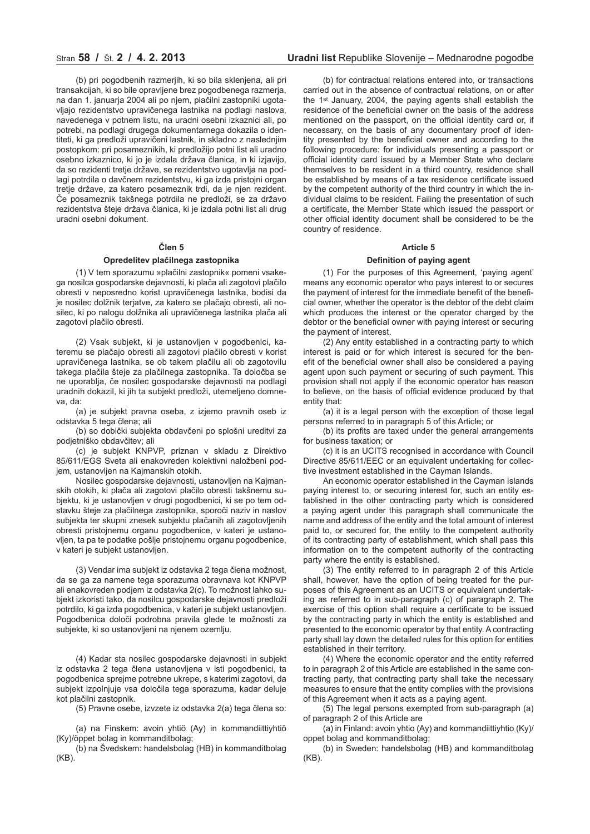(b) pri pogodbenih razmerjih, ki so bila sklenjena, ali pri transakcijah, ki so bile opravljene brez pogodbenega razmerja, na dan 1. januarja 2004 ali po njem, plačilni zastopniki ugotavljajo rezidentstvo upravičenega lastnika na podlagi naslova, navedenega v potnem listu, na uradni osebni izkaznici ali, po potrebi, na podlagi drugega dokumentarnega dokazila o identiteti, ki ga predloži upravičeni lastnik, in skladno z naslednjim postopkom: pri posameznikih, ki predložijo potni list ali uradno osebno izkaznico, ki jo je izdala država članica, in ki izjavijo, da so rezidenti tretje države, se rezidentstvo ugotavlja na podlagi potrdila o davčnem rezidentstvu, ki ga izda pristojni organ tretje države, za katero posameznik trdi, da je njen rezident. Če posameznik takšnega potrdila ne predloži, se za državo rezidentstva šteje država članica, ki je izdala potni list ali drug uradni osebni dokument.

# **Člen 5**

# **Opredelitev plačilnega zastopnika**

(1) V tem sporazumu »plačilni zastopnik« pomeni vsakega nosilca gospodarske dejavnosti, ki plača ali zagotovi plačilo obresti v neposredno korist upravičenega lastnika, bodisi da je nosilec dolžnik terjatve, za katero se plačajo obresti, ali nosilec, ki po nalogu dolžnika ali upravičenega lastnika plača ali zagotovi plačilo obresti.

(2) Vsak subjekt, ki je ustanovljen v pogodbenici, kateremu se plačajo obresti ali zagotovi plačilo obresti v korist upravičenega lastnika, se ob takem plačilu ali ob zagotovilu takega plačila šteje za plačilnega zastopnika. Ta določba se ne uporablja, če nosilec gospodarske dejavnosti na podlagi uradnih dokazil, ki jih ta subjekt predloži, utemeljeno domneva, da:

(a) je subjekt pravna oseba, z izjemo pravnih oseb iz odstavka 5 tega člena; ali

(b) so dobički subjekta obdavčeni po splošni ureditvi za podjetniško obdavčitev; ali

(c) je subjekt KNPVP, priznan v skladu z Direktivo 85/611/EGS Sveta ali enakovreden kolektivni naložbeni podjem, ustanovljen na Kajmanskih otokih.

Nosilec gospodarske dejavnosti, ustanovljen na Kajmanskih otokih, ki plača ali zagotovi plačilo obresti takšnemu subjektu, ki je ustanovljen v drugi pogodbenici, ki se po tem odstavku šteje za plačilnega zastopnika, sporoči naziv in naslov subjekta ter skupni znesek subjektu plačanih ali zagotovljenih obresti pristojnemu organu pogodbenice, v kateri je ustanovljen, ta pa te podatke pošlje pristojnemu organu pogodbenice, v kateri je subjekt ustanovljen.

(3) Vendar ima subjekt iz odstavka 2 tega člena možnost, da se ga za namene tega sporazuma obravnava kot KNPVP ali enakovreden podjem iz odstavka 2(c). To možnost lahko subjekt izkoristi tako, da nosilcu gospodarske dejavnosti predloži potrdilo, ki ga izda pogodbenica, v kateri je subjekt ustanovljen. Pogodbenica določi podrobna pravila glede te možnosti za subjekte, ki so ustanovljeni na njenem ozemlju.

(4) Kadar sta nosilec gospodarske dejavnosti in subjekt iz odstavka 2 tega člena ustanovljena v isti pogodbenici, ta pogodbenica sprejme potrebne ukrepe, s katerimi zagotovi, da subjekt izpolnjuje vsa določila tega sporazuma, kadar deluje kot plačilni zastopnik.

(5) Pravne osebe, izvzete iz odstavka 2(a) tega člena so:

(a) na Finskem: avoin yhtiö (Ay) in kommandiittiyhtiö (Ky)/öppet bolag in kommanditbolag;

(b) na Švedskem: handelsbolag (HB) in kommanditbolag (KB).

(b) for contractual relations entered into, or transactions carried out in the absence of contractual relations, on or after the 1st January, 2004, the paying agents shall establish the residence of the beneficial owner on the basis of the address mentioned on the passport, on the official identity card or, if necessary, on the basis of any documentary proof of identity presented by the beneficial owner and according to the following procedure: for individuals presenting a passport or official identity card issued by a Member State who declare themselves to be resident in a third country, residence shall be established by means of a tax residence certificate issued by the competent authority of the third country in which the individual claims to be resident. Failing the presentation of such a certificate, the Member State which issued the passport or other official identity document shall be considered to be the country of residence.

# **Article 5**

#### **Definition of paying agent**

(1) For the purposes of this Agreement, 'paying agent' means any economic operator who pays interest to or secures the payment of interest for the immediate benefit of the beneficial owner, whether the operator is the debtor of the debt claim which produces the interest or the operator charged by the debtor or the beneficial owner with paying interest or securing the payment of interest.

(2) Any entity established in a contracting party to which interest is paid or for which interest is secured for the benefit of the beneficial owner shall also be considered a paying agent upon such payment or securing of such payment. This provision shall not apply if the economic operator has reason to believe, on the basis of official evidence produced by that entity that:

(a) it is a legal person with the exception of those legal persons referred to in paragraph 5 of this Article; or

(b) its profits are taxed under the general arrangements for business taxation; or

(c) it is an UCITS recognised in accordance with Council Directive 85/611/EEC or an equivalent undertaking for collective investment established in the Cayman Islands.

An economic operator established in the Cayman Islands paying interest to, or securing interest for, such an entity established in the other contracting party which is considered a paying agent under this paragraph shall communicate the name and address of the entity and the total amount of interest paid to, or secured for, the entity to the competent authority of its contracting party of establishment, which shall pass this information on to the competent authority of the contracting party where the entity is established.

(3) The entity referred to in paragraph 2 of this Article shall, however, have the option of being treated for the purposes of this Agreement as an UCITS or equivalent undertaking as referred to in sub-paragraph (c) of paragraph 2. The exercise of this option shall require a certificate to be issued by the contracting party in which the entity is established and presented to the economic operator by that entity. A contracting party shall lay down the detailed rules for this option for entities established in their territory.

(4) Where the economic operator and the entity referred to in paragraph 2 of this Article are established in the same contracting party, that contracting party shall take the necessary measures to ensure that the entity complies with the provisions of this Agreement when it acts as a paying agent.

(5) The legal persons exempted from sub-paragraph (a) of paragraph 2 of this Article are

(a) in Finland: avoin yhtio (Ay) and kommandiittiyhtio (Ky)/ oppet bolag and kommanditbolag;

(b) in Sweden: handelsbolag (HB) and kommanditbolag (KB).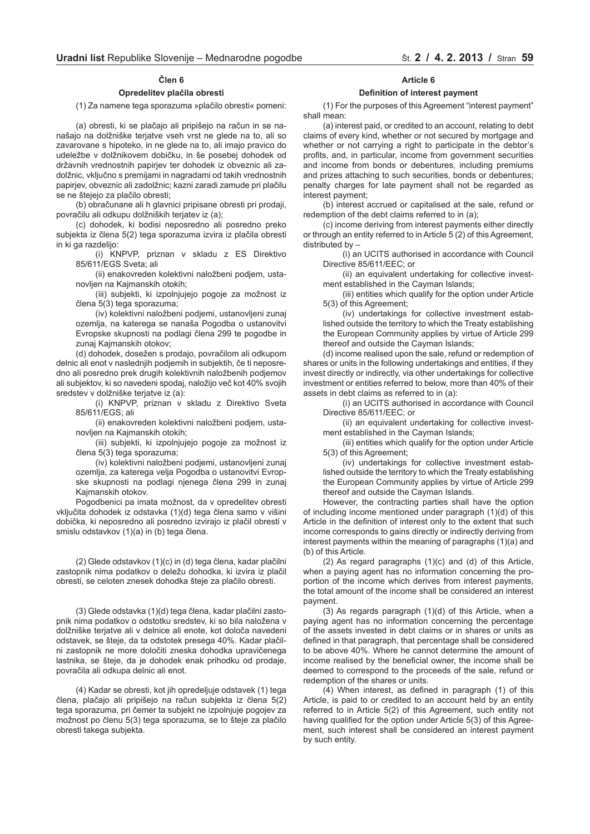# **Člen 6**

#### **Opredelitev plačila obresti**

(1) Za namene tega sporazuma »plačilo obresti« pomeni:

(a) obresti, ki se plačajo ali pripišejo na račun in se nanašajo na dolžniške terjatve vseh vrst ne glede na to, ali so zavarovane s hipoteko, in ne glede na to, ali imajo pravico do udeležbe v dolžnikovem dobičku, in še posebej dohodek od državnih vrednostnih papirjev ter dohodek iz obveznic ali zadolžnic, vključno s premijami in nagradami od takih vrednostnih papirjev, obveznic ali zadolžnic; kazni zaradi zamude pri plačilu se ne štejejo za plačilo obresti;

(b) obračunane ali h glavnici pripisane obresti pri prodaji, povračilu ali odkupu dolžniških terjatev iz (a);

(c) dohodek, ki bodisi neposredno ali posredno preko subjekta iz člena 5(2) tega sporazuma izvira iz plačila obresti in ki ga razdelijo:

(i) KNPVP, priznan v skladu z ES Direktivo 85/611/EGS Sveta; ali

(ii) enakovreden kolektivni naložbeni podjem, ustanovljen na Kajmanskih otokih;

(iii) subjekti, ki izpolnjujejo pogoje za možnost iz člena 5(3) tega sporazuma;

(iv) kolektivni naložbeni podjemi, ustanovljeni zunaj ozemlja, na katerega se nanaša Pogodba o ustanovitvi Evropske skupnosti na podlagi člena 299 te pogodbe in zunaj Kajmanskih otokov;

(d) dohodek, dosežen s prodajo, povračilom ali odkupom delnic ali enot v naslednjih podjemih in subjektih, če ti neposredno ali posredno prek drugih kolektivnih naložbenih podjemov ali subjektov, ki so navedeni spodaj, naložijo več kot 40% svojih sredstev v dolžniške terjatve iz (a):

(i) KNPVP, priznan v skladu z Direktivo Sveta 85/611/EGS; ali

(ii) enakovreden kolektivni naložbeni podjem, ustanovljen na Kajmanskih otokih;

(iii) subjekti, ki izpolnjujejo pogoje za možnost iz člena 5(3) tega sporazuma;

(iv) kolektivni naložbeni podjemi, ustanovljeni zunaj ozemlja, za katerega velja Pogodba o ustanovitvi Evropske skupnosti na podlagi njenega člena 299 in zunaj Kajmanskih otokov.

Pogodbenici pa imata možnost, da v opredelitev obresti vključita dohodek iz odstavka (1)(d) tega člena samo v višini dobička, ki neposredno ali posredno izvirajo iz plačil obresti v smislu odstavkov (1)(a) in (b) tega člena.

(2) Glede odstavkov (1)(c) in (d) tega člena, kadar plačilni zastopnik nima podatkov o deležu dohodka, ki izvira iz plačil obresti, se celoten znesek dohodka šteje za plačilo obresti.

(3) Glede odstavka (1)(d) tega člena, kadar plačilni zastopnik nima podatkov o odstotku sredstev, ki so bila naložena v dolžniške terjatve ali v delnice ali enote, kot določa navedeni odstavek, se šteje, da ta odstotek presega 40%. Kadar plačilni zastopnik ne more določiti zneska dohodka upravičenega lastnika, se šteje, da je dohodek enak prihodku od prodaje, povračila ali odkupa delnic ali enot.

(4) Kadar se obresti, kot jih opredeljuje odstavek (1) tega člena, plačajo ali pripišejo na račun subjekta iz člena 5(2) tega sporazuma, pri čemer ta subjekt ne izpolnjuje pogojev za možnost po členu 5(3) tega sporazuma, se to šteje za plačilo obresti takega subjekta.

#### **Article 6**

#### **Definition of interest payment**

(1) For the purposes of this Agreement "interest payment" shall mean:

(a) interest paid, or credited to an account, relating to debt claims of every kind, whether or not secured by mortgage and whether or not carrying a right to participate in the debtor's profits, and, in particular, income from government securities and income from bonds or debentures, including premiums and prizes attaching to such securities, bonds or debentures; penalty charges for late payment shall not be regarded as interest payment;

(b) interest accrued or capitalised at the sale, refund or redemption of the debt claims referred to in (a);

(c) income deriving from interest payments either directly or through an entity referred to in Article 5 (2) of this Agreement, distributed by –

(i) an UCITS authorised in accordance with Council Directive 85/611/EEC; or

(ii) an equivalent undertaking for collective investment established in the Cayman Islands;

(iii) entities which qualify for the option under Article 5(3) of this Agreement;

(iv) undertakings for collective investment established outside the territory to which the Treaty establishing the European Community applies by virtue of Article 299 thereof and outside the Cayman Islands;

(d) income realised upon the sale, refund or redemption of shares or units in the following undertakings and entities, if they invest directly or indirectly, via other undertakings for collective investment or entities referred to below, more than 40% of their assets in debt claims as referred to in (a):

(i) an UCITS authorised in accordance with Council Directive 85/611/EEC; or

(ii) an equivalent undertaking for collective investment established in the Cayman Islands;

(iii) entities which qualify for the option under Article 5(3) of this Agreement;

(iv) undertakings for collective investment established outside the territory to which the Treaty establishing the European Community applies by virtue of Article 299 thereof and outside the Cayman Islands.

However, the contracting parties shall have the option of including income mentioned under paragraph (1)(d) of this Article in the definition of interest only to the extent that such income corresponds to gains directly or indirectly deriving from interest payments within the meaning of paragraphs (1)(a) and (b) of this Article.

(2) As regard paragraphs (1)(c) and (d) of this Article, when a paying agent has no information concerning the proportion of the income which derives from interest payments, the total amount of the income shall be considered an interest payment.

(3) As regards paragraph (1)(d) of this Article, when a paying agent has no information concerning the percentage of the assets invested in debt claims or in shares or units as defined in that paragraph, that percentage shall be considered to be above 40%. Where he cannot determine the amount of income realised by the beneficial owner, the income shall be deemed to correspond to the proceeds of the sale, refund or redemption of the shares or units.

(4) When interest, as defined in paragraph (1) of this Article, is paid to or credited to an account held by an entity referred to in Article 5(2) of this Agreement, such entity not having qualified for the option under Article 5(3) of this Agreement, such interest shall be considered an interest payment by such entity.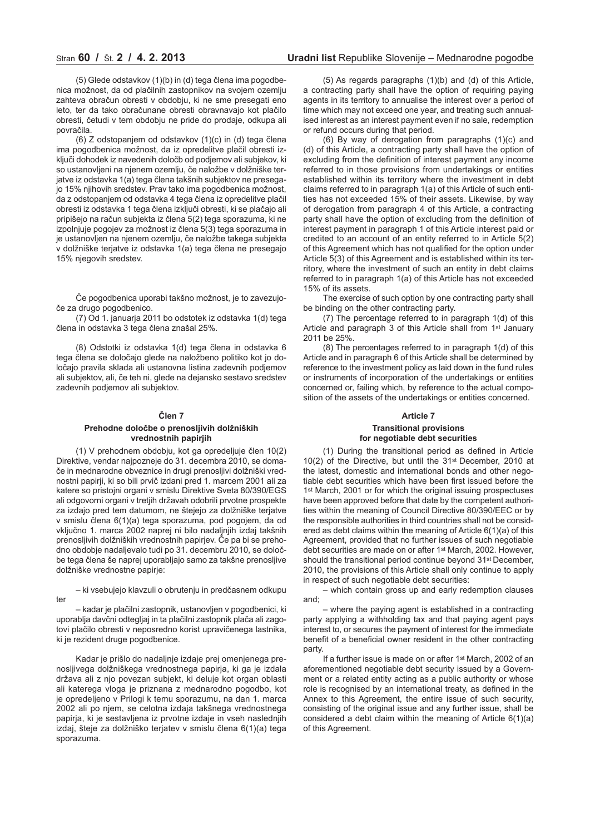(5) Glede odstavkov (1)(b) in (d) tega člena ima pogodbenica možnost, da od plačilnih zastopnikov na svojem ozemlju zahteva obračun obresti v obdobju, ki ne sme presegati eno leto, ter da tako obračunane obresti obravnavajo kot plačilo obresti, četudi v tem obdobju ne pride do prodaje, odkupa ali povračila.

(6) Z odstopanjem od odstavkov (1)(c) in (d) tega člena ima pogodbenica možnost, da iz opredelitve plačil obresti izključi dohodek iz navedenih določb od podjemov ali subjekov, ki so ustanovljeni na njenem ozemlju, če naložbe v dolžniške terjatve iz odstavka 1(a) tega člena takšnih subjektov ne presegajo 15% njihovih sredstev. Prav tako ima pogodbenica možnost, da z odstopanjem od odstavka 4 tega člena iz opredelitve plačil obresti iz odstavka 1 tega člena izključi obresti, ki se plačajo ali pripišejo na račun subjekta iz člena 5(2) tega sporazuma, ki ne izpolnjuje pogojev za možnost iz člena 5(3) tega sporazuma in je ustanovljen na njenem ozemlju, če naložbe takega subjekta v dolžniške terjatve iz odstavka 1(a) tega člena ne presegajo 15% njegovih sredstev.

Če pogodbenica uporabi takšno možnost, je to zavezujoče za drugo pogodbenico.

(7) Od 1. januarja 2011 bo odstotek iz odstavka 1(d) tega člena in odstavka 3 tega člena znašal 25%.

(8) Odstotki iz odstavka 1(d) tega člena in odstavka 6 tega člena se določajo glede na naložbeno politiko kot jo določajo pravila sklada ali ustanovna listina zadevnih podjemov ali subjektov, ali, če teh ni, glede na dejansko sestavo sredstev zadevnih podjemov ali subjektov.

# **Člen 7**

# **Prehodne določbe o prenosljivih dolžniških vrednostnih papirjih**

(1) V prehodnem obdobju, kot ga opredeljuje člen 10(2) Direktive, vendar najpozneje do 31. decembra 2010, se domače in mednarodne obveznice in drugi prenosljivi dolžniški vrednostni papirji, ki so bili prvič izdani pred 1. marcem 2001 ali za katere so pristojni organi v smislu Direktive Sveta 80/390/EGS ali odgovorni organi v tretjih državah odobrili prvotne prospekte za izdajo pred tem datumom, ne štejejo za dolžniške terjatve v smislu člena 6(1)(a) tega sporazuma, pod pogojem, da od vključno 1. marca 2002 naprej ni bilo nadaljnjih izdaj takšnih prenosljivih dolžniških vrednostnih papirjev. Če pa bi se prehodno obdobje nadaljevalo tudi po 31. decembru 2010, se določbe tega člena še naprej uporabljajo samo za takšne prenosljive dolžniške vrednostne papirje:

– ki vsebujejo klavzuli o obrutenju in predčasnem odkupu ter

– kadar je plačilni zastopnik, ustanovljen v pogodbenici, ki uporablja davčni odtegljaj in ta plačilni zastopnik plača ali zagotovi plačilo obresti v neposredno korist upravičenega lastnika, ki je rezident druge pogodbenice.

Kadar je prišlo do nadaljnje izdaje prej omenjenega prenosljivega dolžniškega vrednostnega papirja, ki ga je izdala država ali z njo povezan subjekt, ki deluje kot organ oblasti ali katerega vloga je priznana z mednarodno pogodbo, kot je opredeljeno v Prilogi k temu sporazumu, na dan 1. marca 2002 ali po njem, se celotna izdaja takšnega vrednostnega papirja, ki je sestavljena iz prvotne izdaje in vseh naslednjih izdaj, šteje za dolžniško terjatev v smislu člena 6(1)(a) tega sporazuma.

(5) As regards paragraphs (1)(b) and (d) of this Article, a contracting party shall have the option of requiring paying agents in its territory to annualise the interest over a period of time which may not exceed one year, and treating such annualised interest as an interest payment even if no sale, redemption or refund occurs during that period.

(6) By way of derogation from paragraphs (1)(c) and (d) of this Article, a contracting party shall have the option of excluding from the definition of interest payment any income referred to in those provisions from undertakings or entities established within its territory where the investment in debt claims referred to in paragraph 1(a) of this Article of such entities has not exceeded 15% of their assets. Likewise, by way of derogation from paragraph 4 of this Article, a contracting party shall have the option of excluding from the definition of interest payment in paragraph 1 of this Article interest paid or credited to an account of an entity referred to in Article 5(2) of this Agreement which has not qualified for the option under Article 5(3) of this Agreement and is established within its territory, where the investment of such an entity in debt claims referred to in paragraph 1(a) of this Article has not exceeded 15% of its assets.

The exercise of such option by one contracting party shall be binding on the other contracting party.

(7) The percentage referred to in paragraph 1(d) of this Article and paragraph 3 of this Article shall from 1st January 2011 be 25%.

(8) The percentages referred to in paragraph 1(d) of this Article and in paragraph 6 of this Article shall be determined by reference to the investment policy as laid down in the fund rules or instruments of incorporation of the undertakings or entities concerned or, failing which, by reference to the actual composition of the assets of the undertakings or entities concerned.

#### **Article 7**

#### **Transitional provisions for negotiable debt securities**

(1) During the transitional period as defined in Article 10(2) of the Directive, but until the 31st December, 2010 at the latest, domestic and international bonds and other negotiable debt securities which have been first issued before the 1st March, 2001 or for which the original issuing prospectuses have been approved before that date by the competent authorities within the meaning of Council Directive 80/390/EEC or by the responsible authorities in third countries shall not be considered as debt claims within the meaning of Article 6(1)(a) of this Agreement, provided that no further issues of such negotiable debt securities are made on or after 1st March, 2002. However, should the transitional period continue beyond 31st December, 2010, the provisions of this Article shall only continue to apply in respect of such negotiable debt securities:

– which contain gross up and early redemption clauses and;

– where the paying agent is established in a contracting party applying a withholding tax and that paying agent pays interest to, or secures the payment of interest for the immediate benefit of a beneficial owner resident in the other contracting party.

If a further issue is made on or after 1st March, 2002 of an aforementioned negotiable debt security issued by a Government or a related entity acting as a public authority or whose role is recognised by an international treaty, as defined in the Annex to this Agreement, the entire issue of such security, consisting of the original issue and any further issue, shall be considered a debt claim within the meaning of Article 6(1)(a) of this Agreement.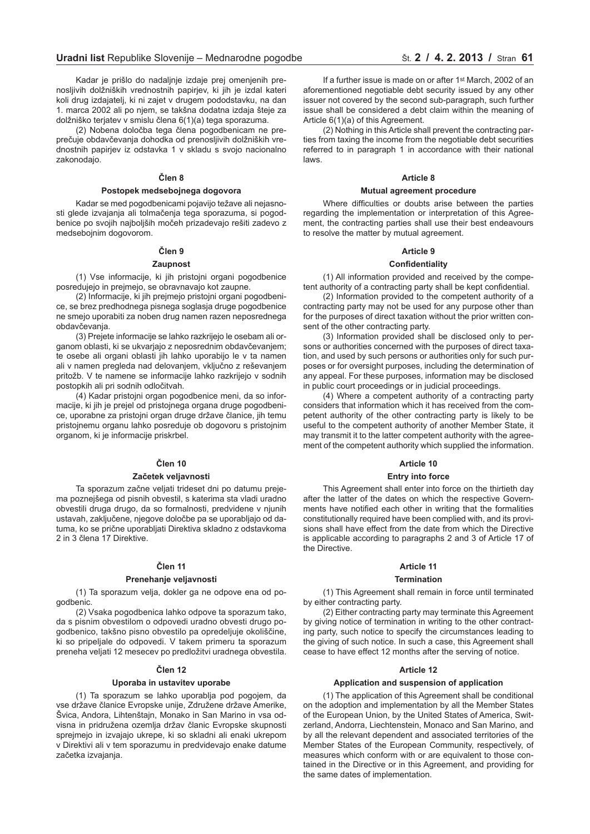Kadar je prišlo do nadaljnje izdaje prej omenjenih prenosljivih dolžniških vrednostnih papirjev, ki jih je izdal kateri koli drug izdajatelj, ki ni zajet v drugem pododstavku, na dan 1. marca 2002 ali po njem, se takšna dodatna izdaja šteje za dolžniško terjatev v smislu člena 6(1)(a) tega sporazuma.

(2) Nobena določba tega člena pogodbenicam ne preprečuje obdavčevanja dohodka od prenosljivih dolžniških vrednostnih papirjev iz odstavka 1 v skladu s svojo nacionalno zakonodajo.

# **Člen 8**

# **Postopek medsebojnega dogovora**

Kadar se med pogodbenicami pojavijo težave ali nejasnosti glede izvajanja ali tolmačenja tega sporazuma, si pogodbenice po svojih najboljših močeh prizadevajo rešiti zadevo z medsebojnim dogovorom.

# **Člen 9**

# **Zaupnost**

(1) Vse informacije, ki jih pristojni organi pogodbenice posredujejo in prejmejo, se obravnavajo kot zaupne.

(2) Informacije, ki jih prejmejo pristojni organi pogodbenice, se brez predhodnega pisnega soglasja druge pogodbenice ne smejo uporabiti za noben drug namen razen neposrednega obdavčevanja.

(3) Prejete informacije se lahko razkrijejo le osebam ali organom oblasti, ki se ukvarjajo z neposrednim obdavčevanjem; te osebe ali organi oblasti jih lahko uporabijo le v ta namen ali v namen pregleda nad delovanjem, vključno z reševanjem pritožb. V te namene se informacije lahko razkrijejo v sodnih postopkih ali pri sodnih odločitvah.

(4) Kadar pristojni organ pogodbenice meni, da so informacije, ki jih je prejel od pristojnega organa druge pogodbenice, uporabne za pristojni organ druge države članice, jih temu pristojnemu organu lahko posreduje ob dogovoru s pristojnim organom, ki je informacije priskrbel.

#### **Člen 10**

#### **Začetek veljavnosti**

Ta sporazum začne veljati trideset dni po datumu prejema poznejšega od pisnih obvestil, s katerima sta vladi uradno obvestili druga drugo, da so formalnosti, predvidene v njunih ustavah, zaključene, njegove določbe pa se uporabljajo od datuma, ko se prične uporabljati Direktiva skladno z odstavkoma 2 in 3 člena 17 Direktive.

#### **Člen 11**

#### **Prenehanje veljavnosti**

(1) Ta sporazum velja, dokler ga ne odpove ena od pogodbenic.

(2) Vsaka pogodbenica lahko odpove ta sporazum tako, da s pisnim obvestilom o odpovedi uradno obvesti drugo pogodbenico, takšno pisno obvestilo pa opredeljuje okoliščine, ki so pripeljale do odpovedi. V takem primeru ta sporazum preneha veljati 12 mesecev po predložitvi uradnega obvestila.

#### **Člen 12**

#### **Uporaba in ustavitev uporabe**

(1) Ta sporazum se lahko uporablja pod pogojem, da vse države članice Evropske unije, Združene države Amerike, Švica, Andora, Lihtenštajn, Monako in San Marino in vsa odvisna in pridružena ozemlja držav članic Evropske skupnosti sprejmejo in izvajajo ukrepe, ki so skladni ali enaki ukrepom v Direktivi ali v tem sporazumu in predvidevajo enake datume začetka izvajanja.

If a further issue is made on or after 1st March, 2002 of an aforementioned negotiable debt security issued by any other issuer not covered by the second sub-paragraph, such further issue shall be considered a debt claim within the meaning of Article 6(1)(a) of this Agreement.

(2) Nothing in this Article shall prevent the contracting parties from taxing the income from the negotiable debt securities referred to in paragraph 1 in accordance with their national laws.

# **Article 8**

#### **Mutual agreement procedure**

Where difficulties or doubts arise between the parties regarding the implementation or interpretation of this Agreement, the contracting parties shall use their best endeavours to resolve the matter by mutual agreement.

#### **Article 9**

#### **Confidentiality**

(1) All information provided and received by the competent authority of a contracting party shall be kept confidential.

(2) Information provided to the competent authority of a contracting party may not be used for any purpose other than for the purposes of direct taxation without the prior written consent of the other contracting party.

(3) Information provided shall be disclosed only to persons or authorities concerned with the purposes of direct taxation, and used by such persons or authorities only for such purposes or for oversight purposes, including the determination of any appeal. For these purposes, information may be disclosed in public court proceedings or in judicial proceedings.

(4) Where a competent authority of a contracting party considers that information which it has received from the competent authority of the other contracting party is likely to be useful to the competent authority of another Member State, it may transmit it to the latter competent authority with the agreement of the competent authority which supplied the information.

#### **Article 10**

#### **Entry into force**

This Agreement shall enter into force on the thirtieth day after the latter of the dates on which the respective Governments have notified each other in writing that the formalities constitutionally required have been complied with, and its provisions shall have effect from the date from which the Directive is applicable according to paragraphs 2 and 3 of Article 17 of the Directive.

#### **Article 11**

## **Termination**

(1) This Agreement shall remain in force until terminated by either contracting party.

(2) Either contracting party may terminate this Agreement by giving notice of termination in writing to the other contracting party, such notice to specify the circumstances leading to the giving of such notice. In such a case, this Agreement shall cease to have effect 12 months after the serving of notice.

#### **Article 12**

#### **Application and suspension of application**

(1) The application of this Agreement shall be conditional on the adoption and implementation by all the Member States of the European Union, by the United States of America, Switzerland, Andorra, Liechtenstein, Monaco and San Marino, and by all the relevant dependent and associated territories of the Member States of the European Community, respectively, of measures which conform with or are equivalent to those contained in the Directive or in this Agreement, and providing for the same dates of implementation.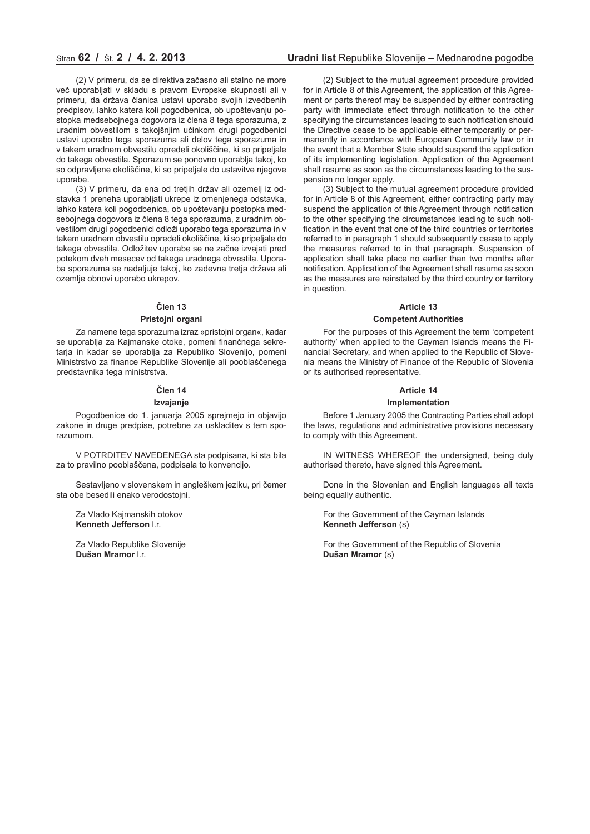# Stran **62 /** Št. **2 / 4. 2. 2013 Uradni list** Republike Slovenije – Mednarodne pogodbe

(2) V primeru, da se direktiva začasno ali stalno ne more več uporabljati v skladu s pravom Evropske skupnosti ali v primeru, da država članica ustavi uporabo svojih izvedbenih predpisov, lahko katera koli pogodbenica, ob upoštevanju postopka medsebojnega dogovora iz člena 8 tega sporazuma, z uradnim obvestilom s takojšnjim učinkom drugi pogodbenici ustavi uporabo tega sporazuma ali delov tega sporazuma in v takem uradnem obvestilu opredeli okoliščine, ki so pripeljale do takega obvestila. Sporazum se ponovno uporablja takoj, ko so odpravljene okoliščine, ki so pripeljale do ustavitve njegove uporabe.

(3) V primeru, da ena od tretjih držav ali ozemelj iz odstavka 1 preneha uporabljati ukrepe iz omenjenega odstavka, lahko katera koli pogodbenica, ob upoštevanju postopka medsebojnega dogovora iz člena 8 tega sporazuma, z uradnim obvestilom drugi pogodbenici odloži uporabo tega sporazuma in v takem uradnem obvestilu opredeli okoliščine, ki so pripeljale do takega obvestila. Odložitev uporabe se ne začne izvajati pred potekom dveh mesecev od takega uradnega obvestila. Uporaba sporazuma se nadaljuje takoj, ko zadevna tretja država ali ozemlje obnovi uporabo ukrepov.

#### **Člen 13**

#### **Pristojni organi**

Za namene tega sporazuma izraz »pristojni organ«, kadar se uporablja za Kajmanske otoke, pomeni finančnega sekretarja in kadar se uporablja za Republiko Slovenijo, pomeni Ministrstvo za finance Republike Slovenije ali pooblaščenega predstavnika tega ministrstva.

#### **Člen 14**

#### **Izvajanje**

Pogodbenice do 1. januarja 2005 sprejmejo in objavijo zakone in druge predpise, potrebne za uskladitev s tem sporazumom.

V POTRDITEV NAVEDENEGA sta podpisana, ki sta bila za to pravilno pooblaščena, podpisala to konvencijo.

Sestavljeno v slovenskem in angleškem jeziku, pri čemer sta obe besedili enako verodostojni.

Za Vlado Kajmanskih otokov **Kenneth Jefferson** l.r.

Za Vlado Republike Slovenije **Dušan Mramor** l.r.

(2) Subject to the mutual agreement procedure provided for in Article 8 of this Agreement, the application of this Agreement or parts thereof may be suspended by either contracting party with immediate effect through notification to the other specifying the circumstances leading to such notification should the Directive cease to be applicable either temporarily or permanently in accordance with European Community law or in the event that a Member State should suspend the application of its implementing legislation. Application of the Agreement shall resume as soon as the circumstances leading to the suspension no longer apply.

(3) Subject to the mutual agreement procedure provided for in Article 8 of this Agreement, either contracting party may suspend the application of this Agreement through notification to the other specifying the circumstances leading to such notification in the event that one of the third countries or territories referred to in paragraph 1 should subsequently cease to apply the measures referred to in that paragraph. Suspension of application shall take place no earlier than two months after notification. Application of the Agreement shall resume as soon as the measures are reinstated by the third country or territory in question.

#### **Article 13**

# **Competent Authorities**

For the purposes of this Agreement the term 'competent authority' when applied to the Cayman Islands means the Financial Secretary, and when applied to the Republic of Slovenia means the Ministry of Finance of the Republic of Slovenia or its authorised representative.

#### **Article 14**

#### **Implementation**

Before 1 January 2005 the Contracting Parties shall adopt the laws, regulations and administrative provisions necessary to comply with this Agreement.

IN WITNESS WHEREOF the undersigned, being duly authorised thereto, have signed this Agreement.

Done in the Slovenian and English languages all texts being equally authentic.

For the Government of the Cayman Islands **Kenneth Jefferson** (s)

For the Government of the Republic of Slovenia **Dušan Mramor** (s)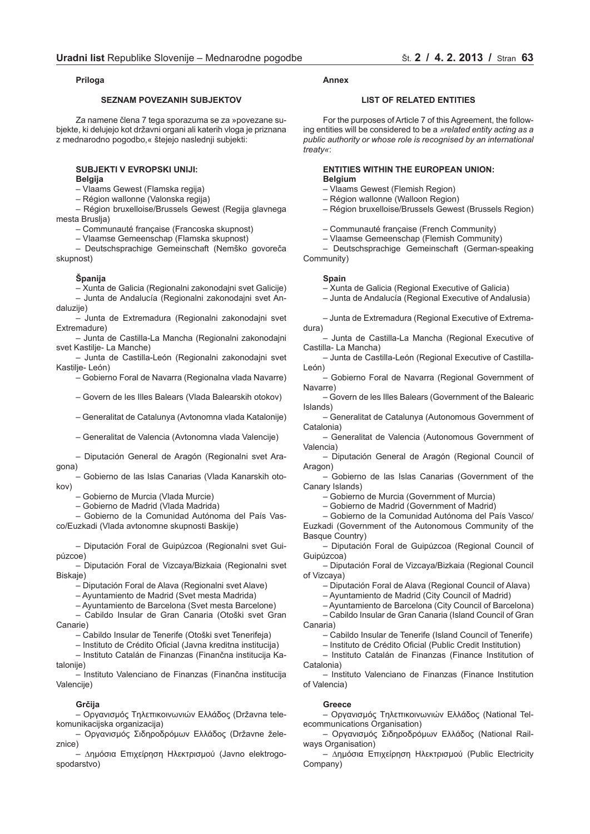# **Priloga**

# **SEZNAM POVEZANIH SUBJEKTOV**

Za namene člena 7 tega sporazuma se za »povezane subjekte, ki delujejo kot državni organi ali katerih vloga je priznana z mednarodno pogodbo,« štejejo naslednji subjekti:

# **SUBJEKTI V EVROPSKI UNIJI:**

**Belgija**

– Vlaams Gewest (Flamska regija)

– Région wallonne (Valonska regija)

– Région bruxelloise/Brussels Gewest (Regija glavnega mesta Bruslja)

– Communauté française (Francoska skupnost)

– Vlaamse Gemeenschap (Flamska skupnost)

– Deutschsprachige Gemeinschaft (Nemško govoreča skupnost)

# **Španija**

– Xunta de Galicia (Regionalni zakonodajni svet Galicije) – Junta de Andalucía (Regionalni zakonodajni svet Andaluzije)

– Junta de Extremadura (Regionalni zakonodajni svet Extremadure)

– Junta de Castilla-La Mancha (Regionalni zakonodajni svet Kastilie- La Manche)

– Junta de Castilla-León (Regionalni zakonodajni svet Kastilje- León)

– Gobierno Foral de Navarra (Regionalna vlada Navarre)

– Govern de les Illes Balears (Vlada Balearskih otokov)

– Generalitat de Catalunya (Avtonomna vlada Katalonije)

– Generalitat de Valencia (Avtonomna vlada Valencije)

– Diputación General de Aragón (Regionalni svet Aragona)

– Gobierno de las Islas Canarias (Vlada Kanarskih otokov)

– Gobierno de Murcia (Vlada Murcie)

– Gobierno de Madrid (Vlada Madrida)

– Gobierno de la Comunidad Autónoma del País Vasco/Euzkadi (Vlada avtonomne skupnosti Baskije)

– Diputación Foral de Guipúzcoa (Regionalni svet Guipúzcoe)

– Diputación Foral de Vizcaya/Bizkaia (Regionalni svet Biskaje)

– Diputación Foral de Alava (Regionalni svet Alave)

– Ayuntamiento de Madrid (Svet mesta Madrida)

– Ayuntamiento de Barcelona (Svet mesta Barcelone)

– Cabildo Insular de Gran Canaria (Otoški svet Gran Canarie)

– Cabildo Insular de Tenerife (Otoški svet Tenerifeja)

– Instituto de Crédito Oficial (Javna kreditna institucija)

– Instituto Catalán de Finanzas (Finančna institucija Katalonije)

– Instituto Valenciano de Finanzas (Finančna institucija Valencije)

#### **Grčija**

– Оργανισµός Тηλεπικοινωνιών Ελλάδος (Državna telekomunikacijska organizacija)

– Оργανισµός Σιδηροδρόµων Ελλάδος (Državne železnice)

– ∆ηµόσια Επιχείρηση Ηλεκτρισµού (Javno elektrogospodarstvo)

#### **Annex**

## **LIST OF RELATED ENTITIES**

For the purposes of Article 7 of this Agreement, the following entities will be considered to be a *»related entity acting as a public authority or whose role is recognised by an international treaty«*:

# **ENTITIES WITHIN THE EUROPEAN UNION: Belgium**

- Vlaams Gewest (Flemish Region)
- Région wallonne (Walloon Region)
- Région bruxelloise/Brussels Gewest (Brussels Region)
- Communauté française (French Community)
- Vlaamse Gemeenschap (Flemish Community)

– Deutschsprachige Gemeinschaft (German-speaking Community)

# **Spain**

– Xunta de Galicia (Regional Executive of Galicia)

– Junta de Andalucía (Regional Executive of Andalusia)

– Junta de Extremadura (Regional Executive of Extremadura)

– Junta de Castilla-La Mancha (Regional Executive of Castilla- La Mancha)

– Junta de Castilla-León (Regional Executive of Castilla-León)

– Gobierno Foral de Navarra (Regional Government of Navarre)

– Govern de les Illes Balears (Government of the Balearic Islands)

– Generalitat de Catalunya (Autonomous Government of Catalonia)

– Generalitat de Valencia (Autonomous Government of Valencia)

– Diputación General de Aragón (Regional Council of Aragon)

– Gobierno de las Islas Canarias (Government of the Canary Islands)

– Gobierno de Murcia (Government of Murcia)

– Gobierno de Madrid (Government of Madrid)

– Gobierno de la Comunidad Autónoma del País Vasco/ Euzkadi (Government of the Autonomous Community of the Basque Country)

– Diputación Foral de Guipúzcoa (Regional Council of Guipúzcoa)

– Diputación Foral de Vizcaya/Bizkaia (Regional Council of Vizcaya)

– Diputación Foral de Alava (Regional Council of Alava)

– Ayuntamiento de Madrid (City Council of Madrid)

– Ayuntamiento de Barcelona (City Council of Barcelona) – Cabildo Insular de Gran Canaria (Island Council of Gran Canaria)

– Cabildo Insular de Tenerife (Island Council of Tenerife)

– Instituto de Crédito Oficial (Public Credit Institution)

– Instituto Catalán de Finanzas (Finance Institution of Catalonia)

– Instituto Valenciano de Finanzas (Finance Institution of Valencia)

#### **Greece**

– Оργανισµός Тηλεπικοινωνιών Ελλάδος (National Telecommunications Organisation)

– Оργανισµός Σιδηροδρόµων Ελλάδος (National Railways Organisation)

– ∆ηµόσια Επιχείρηση Ηλεκτρισµού (Public Electricity Company)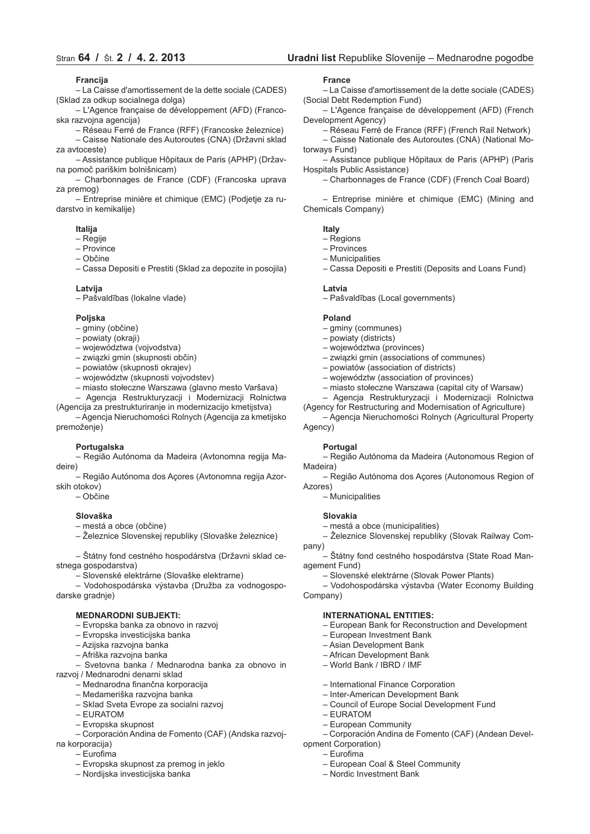# **Francija**

– La Caisse d'amortissement de la dette sociale (CADES) (Sklad za odkup socialnega dolga)

– L'Agence française de développement (AFD) (Francoska razvojna agencija)

– Réseau Ferré de France (RFF) (Francoske železnice) – Caisse Nationale des Autoroutes (CNA) (Državni sklad za avtoceste)

– Assistance publique Hôpitaux de Paris (APHP) (Državna pomoč pariškim bolnišnicam)

– Charbonnages de France (CDF) (Francoska uprava za premog)

– Entreprise minière et chimique (EMC) (Podjetje za rudarstvo in kemikalije)

#### **Italija**

– Regije

- Province
- Občine

– Cassa Depositi e Prestiti (Sklad za depozite in posojila)

#### **Latvija**

– Pašvaldības (lokalne vlade)

#### **Poljska**

- gminy (občine)
- powiaty (okraji)
- województwa (vojvodstva)
- związki gmin (skupnosti občin)
- powiatów (skupnosti okrajev)
- województw (skupnosti vojvodstev)
- miasto stołeczne Warszawa (glavno mesto Varšava)
- Agencja Restrukturyzacji i Modernizacji Rolnictwa (Agencija za prestrukturiranje in modernizacijo kmetijstva)

– Agencja Nieruchomości Rolnych (Agencija za kmetijsko premoženje)

# **Portugalska**

– Região Autónoma da Madeira (Avtonomna regija Madeire)

– Região Autónoma dos Açores (Avtonomna regija Azorskih otokov)

– Občine

#### **Slovaška**

- mestá a obce (občine)
- Železnice Slovenskej republiky (Slovaške železnice)

– Štátny fond cestného hospodárstva (Državni sklad cestnega gospodarstva)

– Slovenské elektrárne (Slovaške elektrarne)

– Vodohospodárska výstavba (Družba za vodnogospodarske gradnje)

# **MEDNARODNI SUBJEKTI:**

- Evropska banka za obnovo in razvoj
- Evropska investicijska banka
- Azijska razvojna banka
- Afriška razvojna banka

– Svetovna banka / Mednarodna banka za obnovo in razvoj / Mednarodni denarni sklad

- Mednarodna finančna korporacija
- 
- Medameriška razvojna banka
- Sklad Sveta Evrope za socialni razvoj
- EURATOM
- Evropska skupnost
- Corporación Andina de Fomento (CAF) (Andska razvoj-
- na korporacija) – Eurofima
	-
	- Evropska skupnost za premog in jeklo
	- Nordijska investicijska banka

#### **France**

– La Caisse d'amortissement de la dette sociale (CADES) (Social Debt Redemption Fund)

– L'Agence française de développement (AFD) (French Development Agency)

– Réseau Ferré de France (RFF) (French Rail Network)

– Caisse Nationale des Autoroutes (CNA) (National Motorways Fund)

– Assistance publique Hôpitaux de Paris (APHP) (Paris Hospitals Public Assistance)

– Charbonnages de France (CDF) (French Coal Board)

– Entreprise minière et chimique (EMC) (Mining and Chemicals Company)

**Italy**

- Regions
- Provinces
- Municipalities
- Cassa Depositi e Prestiti (Deposits and Loans Fund)

#### **Latvia**

– Pašvaldības (Local governments)

#### **Poland**

- gminy (communes)
- powiaty (districts)
- województwa (provinces)
- związki gmin (associations of communes)
- powiatów (association of districts)
- województw (association of provinces)
- miasto stołeczne Warszawa (capital city of Warsaw)
- Agencja Restrukturyzacji i Modernizacji Rolnictwa

(Agency for Restructuring and Modernisation of Agriculture)

– Agencja Nieruchomości Rolnych (Agricultural Property Agency)

#### **Portugal**

– Região Autónoma da Madeira (Autonomous Region of Madeira)

– Região Autónoma dos Açores (Autonomous Region of Azores)

– Municipalities

#### **Slovakia**

– mestá a obce (municipalities)

– Železnice Slovenskej republiky (Slovak Railway Company)

– Štátny fond cestného hospodárstva (State Road Management Fund)

– Slovenské elektrárne (Slovak Power Plants)

– Vodohospodárska výstavba (Water Economy Building Company)

#### **INTERNATIONAL ENTITIES:**

– European Bank for Reconstruction and Development

– Corporación Andina de Fomento (CAF) (Andean Devel-

- European Investment Bank
- Asian Development Bank
- African Development Bank
- World Bank / IBRD / IMF
- International Finance Corporation
- Inter-American Development Bank

– European Coal & Steel Community

- Council of Europe Social Development Fund
- EURATOM

opment Corporation) – Eurofima

– European Community

– Nordic Investment Bank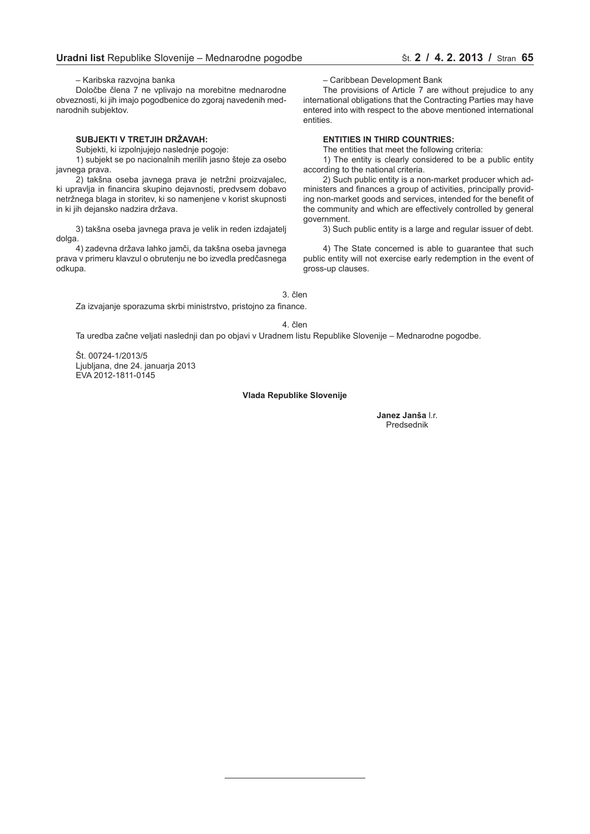– Karibska razvojna banka

Določbe člena 7 ne vplivajo na morebitne mednarodne obveznosti, ki jih imajo pogodbenice do zgoraj navedenih mednarodnih subjektov.

# **SUBJEKTI V TRETJIH DRŽAVAH:**

Subjekti, ki izpolnjujejo naslednje pogoje:

1) subjekt se po nacionalnih merilih jasno šteje za osebo javnega prava.

2) takšna oseba javnega prava je netržni proizvajalec, ki upravlja in financira skupino dejavnosti, predvsem dobavo netržnega blaga in storitev, ki so namenjene v korist skupnosti in ki jih dejansko nadzira država.

3) takšna oseba javnega prava je velik in reden izdajatelj dolga.

4) zadevna država lahko jamči, da takšna oseba javnega prava v primeru klavzul o obrutenju ne bo izvedla predčasnega odkupa.

– Caribbean Development Bank

The provisions of Article 7 are without prejudice to any international obligations that the Contracting Parties may have entered into with respect to the above mentioned international entities.

# **ENTITIES IN THIRD COUNTRIES:**

The entities that meet the following criteria:

1) The entity is clearly considered to be a public entity according to the national criteria.

2) Such public entity is a non-market producer which administers and finances a group of activities, principally providing non-market goods and services, intended for the benefit of the community and which are effectively controlled by general government.

3) Such public entity is a large and regular issuer of debt.

4) The State concerned is able to guarantee that such public entity will not exercise early redemption in the event of gross-up clauses.

3. člen

Za izvajanje sporazuma skrbi ministrstvo, pristojno za finance.

4. člen

Ta uredba začne veljati naslednji dan po objavi v Uradnem listu Republike Slovenije – Mednarodne pogodbe.

Št. 00724-1/2013/5 Ljubljana, dne 24. januarja 2013 EVA 2012-1811-0145

# **Vlada Republike Slovenije**

**Janez Janša** l.r. Predsednik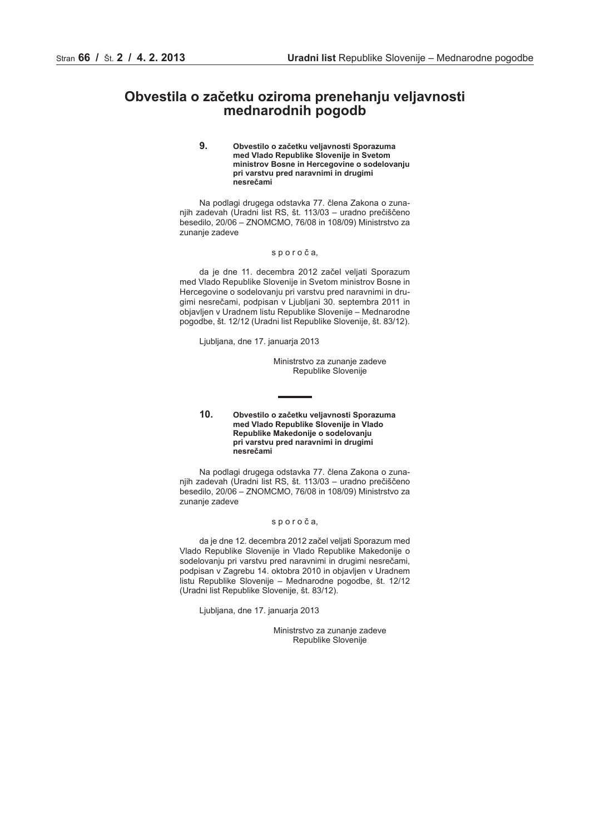# <span id="page-13-0"></span>**Obvestila o začetku oziroma prenehanju veljavnosti mednarodnih pogodb**

**9. Obvestilo o začetku veljavnosti Sporazuma med Vlado Republike Slovenije in Svetom ministrov Bosne in Hercegovine o sodelovanju pri varstvu pred naravnimi in drugimi nesrečami**

Na podlagi drugega odstavka 77. člena Zakona o zunanjih zadevah (Uradni list RS, št. 113/03 – uradno prečiščeno besedilo, 20/06 – ZNOMCMO, 76/08 in 108/09) Ministrstvo za zunanje zadeve

## s p o r o č a,

da je dne 11. decembra 2012 začel veljati Sporazum med Vlado Republike Slovenije in Svetom ministrov Bosne in Hercegovine o sodelovanju pri varstvu pred naravnimi in drugimi nesrečami, podpisan v Ljubljani 30. septembra 2011 in objavljen v Uradnem listu Republike Slovenije – Mednarodne pogodbe, št. 12/12 (Uradni list Republike Slovenije, št. 83/12).

Ljubljana, dne 17. januarja 2013

Ministrstvo za zunanje zadeve Republike Slovenije

**10. Obvestilo o začetku veljavnosti Sporazuma med Vlado Republike Slovenije in Vlado Republike Makedonije o sodelovanju pri varstvu pred naravnimi in drugimi nesrečami**

Na podlagi drugega odstavka 77. člena Zakona o zunanjih zadevah (Uradni list RS, št. 113/03 – uradno prečiščeno besedilo, 20/06 – ZNOMCMO, 76/08 in 108/09) Ministrstvo za zunanje zadeve

#### s p o r o č a,

da je dne 12. decembra 2012 začel veljati Sporazum med Vlado Republike Slovenije in Vlado Republike Makedonije o sodelovanju pri varstvu pred naravnimi in drugimi nesrečami, podpisan v Zagrebu 14. oktobra 2010 in objavljen v Uradnem listu Republike Slovenije – Mednarodne pogodbe, št. 12/12 (Uradni list Republike Slovenije, št. 83/12).

Ljubljana, dne 17. januarja 2013

Ministrstvo za zunanje zadeve Republike Slovenije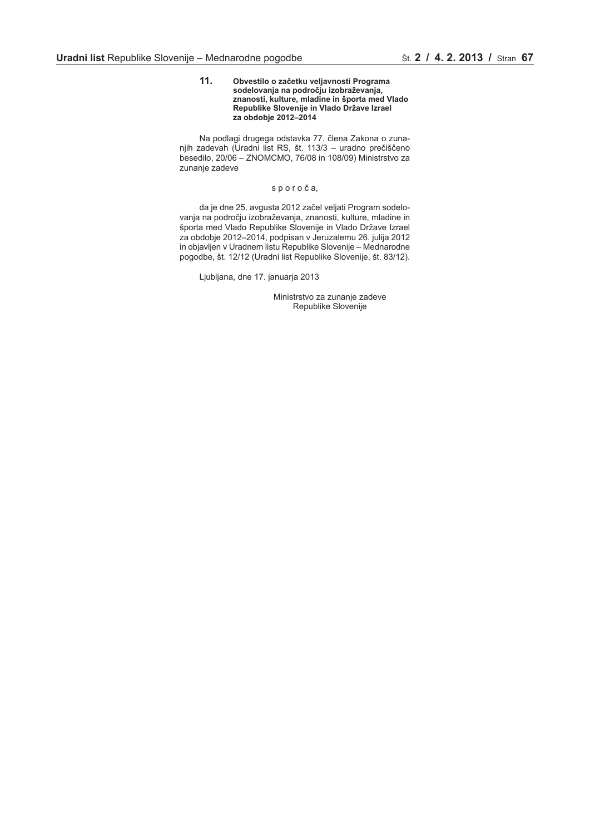#### **11. Obvestilo o začetku veljavnosti Programa sodelovanja na področju izobraževanja, znanosti, kulture, mladine in športa med Vlado Republike Slovenije in Vlado Države Izrael za obdobje 2012–2014**

Na podlagi drugega odstavka 77. člena Zakona o zunanjih zadevah (Uradni list RS, št. 113/3 – uradno prečiščeno besedilo, 20/06 – ZNOMCMO, 76/08 in 108/09) Ministrstvo za zunanje zadeve

# s p o r o č a,

da je dne 25. avgusta 2012 začel veljati Program sodelovanja na področju izobraževanja, znanosti, kulture, mladine in športa med Vlado Republike Slovenije in Vlado Države Izrael za obdobje 2012–2014, podpisan v Jeruzalemu 26. julija 2012 in objavljen v Uradnem listu Republike Slovenije – Mednarodne pogodbe, št. 12/12 (Uradni list Republike Slovenije, št. 83/12).

Ljubljana, dne 17. januarja 2013

Ministrstvo za zunanje zadeve Republike Slovenije